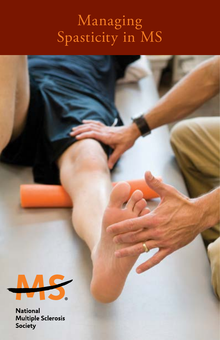# Managing Spasticity in MS



**National Multiple Sclerosis** Society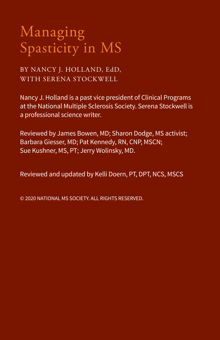# Managing Spasticity in MS

BY NANCY J. HOLLAND, EdD, WITH SERENA STOCKWELL

Nancy J. Holland is a past vice president of Clinical Programs at the National Multiple Sclerosis Society. Serena Stockwell is a professional science writer.

Reviewed by James Bowen, MD; Sharon Dodge, MS activist; Barbara Giesser, MD; Pat Kennedy, RN, CNP, MSCN; Sue Kushner, MS, PT; Jerry Wolinsky, MD.

Reviewed and updated by Kelli Doern, PT, DPT, NCS, MSCS

© 2020 NATIONAL MS SOCIETY. ALL RIGHTS RESERVED.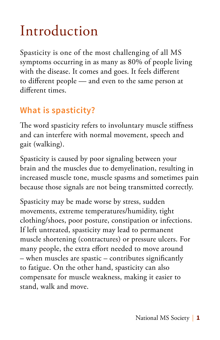# Introduction

Spasticity is one of the most challenging of all MS symptoms occurring in as many as 80% of people living with the disease. It comes and goes. It feels different to different people — and even to the same person at different times.

#### **What is spasticity?**

The word spasticity refers to involuntary muscle stiffness and can interfere with normal movement, speech and gait (walking).

Spasticity is caused by poor signaling between your brain and the muscles due to demyelination, resulting in increased muscle tone, muscle spasms and sometimes pain because those signals are not being transmitted correctly.

Spasticity may be made worse by stress, sudden movements, extreme temperatures/humidity, tight clothing/shoes, poor posture, constipation or infections. If left untreated, spasticity may lead to permanent muscle shortening (contractures) or pressure ulcers. For many people, the extra effort needed to move around – when muscles are spastic – contributes significantly to fatigue. On the other hand, spasticity can also compensate for muscle weakness, making it easier to stand, walk and move.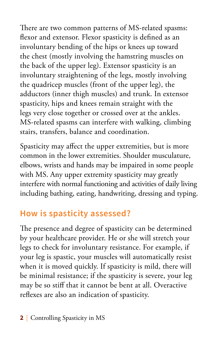There are two common patterns of MS-related spasms: flexor and extensor. Flexor spasticity is defined as an involuntary bending of the hips or knees up toward the chest (mostly involving the hamstring muscles on the back of the upper leg). Extensor spasticity is an involuntary straightening of the legs, mostly involving the quadricep muscles (front of the upper leg), the adductors (inner thigh muscles) and trunk. In extensor spasticity, hips and knees remain straight with the legs very close together or crossed over at the ankles. MS-related spasms can interfere with walking, climbing stairs, transfers, balance and coordination.

Spasticity may affect the upper extremities, but is more common in the lower extremities. Shoulder musculature, elbows, wrists and hands may be impaired in some people with MS. Any upper extremity spasticity may greatly interfere with normal functioning and activities of daily living including bathing, eating, handwriting, dressing and typing.

#### **How is spasticity assessed?**

The presence and degree of spasticity can be determined by your healthcare provider. He or she will stretch your legs to check for involuntary resistance. For example, if your leg is spastic, your muscles will automatically resist when it is moved quickly. If spasticity is mild, there will be minimal resistance; if the spasticity is severe, your leg may be so stiff that it cannot be bent at all. Overactive reflexes are also an indication of spasticity.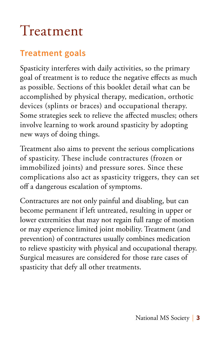# Treatment

#### **Treatment goals**

Spasticity interferes with daily activities, so the primary goal of treatment is to reduce the negative effects as much as possible. Sections of this booklet detail what can be accomplished by physical therapy, medication, orthotic devices (splints or braces) and occupational therapy. Some strategies seek to relieve the affected muscles; others involve learning to work around spasticity by adopting new ways of doing things.

Treatment also aims to prevent the serious complications of spasticity. These include contractures (frozen or immobilized joints) and pressure sores. Since these complications also act as spasticity triggers, they can set off a dangerous escalation of symptoms.

Contractures are not only painful and disabling, but can become permanent if left untreated, resulting in upper or lower extremities that may not regain full range of motion or may experience limited joint mobility. Treatment (and prevention) of contractures usually combines medication to relieve spasticity with physical and occupational therapy. Surgical measures are considered for those rare cases of spasticity that defy all other treatments.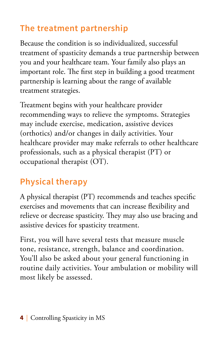### **The treatment partnership**

Because the condition is so individualized, successful treatment of spasticity demands a true partnership between you and your healthcare team. Your family also plays an important role. The first step in building a good treatment partnership is learning about the range of available treatment strategies.

Treatment begins with your healthcare provider recommending ways to relieve the symptoms. Strategies may include exercise, medication, assistive devices (orthotics) and/or changes in daily activities. Your healthcare provider may make referrals to other healthcare professionals, such as a physical therapist (PT) or occupational therapist (OT).

#### **Physical therapy**

A physical therapist (PT) recommends and teaches specific exercises and movements that can increase flexibility and relieve or decrease spasticity. They may also use bracing and assistive devices for spasticity treatment.

First, you will have several tests that measure muscle tone, resistance, strength, balance and coordination. You'll also be asked about your general functioning in routine daily activities. Your ambulation or mobility will most likely be assessed.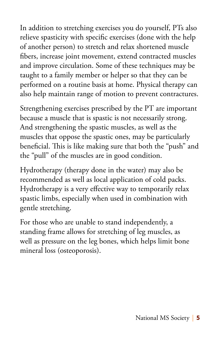In addition to stretching exercises you do yourself, PTs also relieve spasticity with specific exercises (done with the help of another person) to stretch and relax shortened muscle fibers, increase joint movement, extend contracted muscles and improve circulation. Some of these techniques may be taught to a family member or helper so that they can be performed on a routine basis at home. Physical therapy can also help maintain range of motion to prevent contractures.

Strengthening exercises prescribed by the PT are important because a muscle that is spastic is not necessarily strong. And strengthening the spastic muscles, as well as the muscles that oppose the spastic ones, may be particularly beneficial. This is like making sure that both the "push" and the "pull" of the muscles are in good condition.

Hydrotherapy (therapy done in the water) may also be recommended as well as local application of cold packs. Hydrotherapy is a very effective way to temporarily relax spastic limbs, especially when used in combination with gentle stretching.

For those who are unable to stand independently, a standing frame allows for stretching of leg muscles, as well as pressure on the leg bones, which helps limit bone mineral loss (osteoporosis).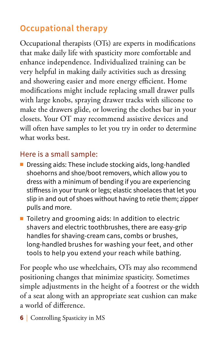### **Occupational therapy**

Occupational therapists (OTs) are experts in modifications that make daily life with spasticity more comfortable and enhance independence. Individualized training can be very helpful in making daily activities such as dressing and showering easier and more energy efficient. Home modifications might include replacing small drawer pulls with large knobs, spraying drawer tracks with silicone to make the drawers glide, or lowering the clothes bar in your closets. Your OT may recommend assistive devices and will often have samples to let you try in order to determine what works best.

#### Here is a small sample:

- $\blacksquare$  Dressing aids: These include stocking aids, long-handled shoehorns and shoe/boot removers, which allow you to dress with a minimum of bending if you are experiencing stiffness in your trunk or legs; elastic shoelaces that let you slip in and out of shoes without having to retie them; zipper pulls and more.
- $\blacksquare$  Toiletry and grooming aids: In addition to electric shavers and electric toothbrushes, there are easy-grip handles for shaving-cream cans, combs or brushes, long-handled brushes for washing your feet, and other tools to help you extend your reach while bathing.

For people who use wheelchairs, OTs may also recommend positioning changes that minimize spasticity. Sometimes simple adjustments in the height of a footrest or the width of a seat along with an appropriate seat cushion can make a world of difference.

**6** Controlling Spasticity in MS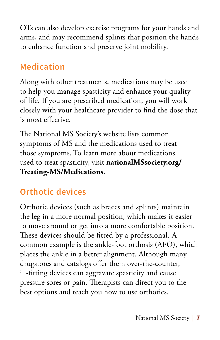OTs can also develop exercise programs for your hands and arms, and may recommend splints that position the hands to enhance function and preserve joint mobility.

#### **Medication**

Along with other treatments, medications may be used to help you manage spasticity and enhance your quality of life. If you are prescribed medication, you will work closely with your healthcare provider to find the dose that is most effective.

The National MS Society's website lists common symptoms of MS and the medications used to treat those symptoms. To learn more about medications used to treat spasticity, visit **nationalMSsociety.org/ Treating-MS/Medications**.

## **Orthotic devices**

Orthotic devices (such as braces and splints) maintain the leg in a more normal position, which makes it easier to move around or get into a more comfortable position. These devices should be fitted by a professional. A common example is the ankle-foot orthosis (AFO), which places the ankle in a better alignment. Although many drugstores and catalogs offer them over-the-counter, ill-fitting devices can aggravate spasticity and cause pressure sores or pain. Therapists can direct you to the best options and teach you how to use orthotics.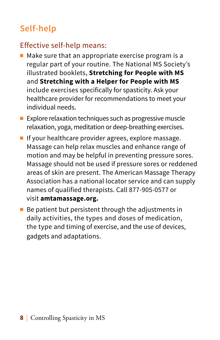## **Self-help**

#### Effective self-help means:

- $\blacksquare$  Make sure that an appropriate exercise program is a regular part of your routine. The National MS Society's illustrated booklets, **Stretching for People with MS** and **Stretching with a Helper for People with MS** include exercises specifically for spasticity. Ask your healthcare provider for recommendations to meet your individual needs.
- $\blacksquare$  Explore relaxation techniques such as progressive muscle relaxation, yoga, meditation or deep-breathing exercises.
- **n** If your healthcare provider agrees, explore massage. Massage can help relax muscles and enhance range of motion and may be helpful in preventing pressure sores. Massage should not be used if pressure sores or reddened areas of skin are present. The American Massage Therapy Association has a national locator service and can supply names of qualified therapists. Call 877-905-0577 or visit **amtamassage.org.**
- $\blacksquare$  Be patient but persistent through the adjustments in daily activities, the types and doses of medication, the type and timing of exercise, and the use of devices, gadgets and adaptations.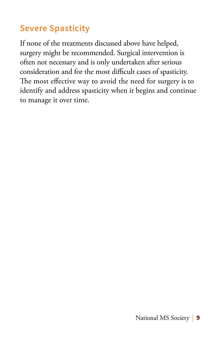## **Severe Spasticity**

If none of the treatments discussed above have helped, surgery might be recommended. Surgical intervention is often not necessary and is only undertaken after serious consideration and for the most difficult cases of spasticity. The most effective way to avoid the need for surgery is to identify and address spasticity when it begins and continue to manage it over time.